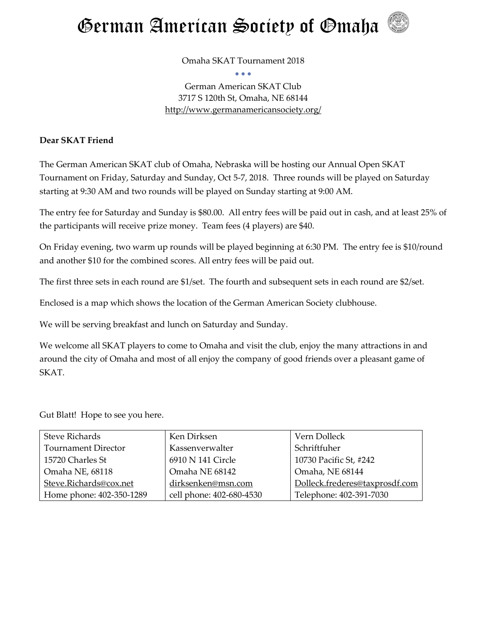

Omaha SKAT Tournament 2018 • • •

German American SKAT Club 3717 S 120th St, Omaha, NE 68144 <http://www.germanamericansociety.org/>

#### **Dear SKAT Friend**

The German American SKAT club of Omaha, Nebraska will be hosting our Annual Open SKAT Tournament on Friday, Saturday and Sunday, Oct 5-7, 2018. Three rounds will be played on Saturday starting at 9:30 AM and two rounds will be played on Sunday starting at 9:00 AM.

The entry fee for Saturday and Sunday is \$80.00. All entry fees will be paid out in cash, and at least 25% of the participants will receive prize money. Team fees (4 players) are \$40.

On Friday evening, two warm up rounds will be played beginning at 6:30 PM. The entry fee is \$10/round and another \$10 for the combined scores. All entry fees will be paid out.

The first three sets in each round are \$1/set. The fourth and subsequent sets in each round are \$2/set.

Enclosed is a map which shows the location of the German American Society clubhouse.

We will be serving breakfast and lunch on Saturday and Sunday.

We welcome all SKAT players to come to Omaha and visit the club, enjoy the many attractions in and around the city of Omaha and most of all enjoy the company of good friends over a pleasant game of SKAT.

Gut Blatt! Hope to see you here.

| <b>Steve Richards</b>      | Ken Dirksen              | Vern Dolleck                   |
|----------------------------|--------------------------|--------------------------------|
| <b>Tournament Director</b> | Kassenverwalter          | Schriftfuher                   |
| 15720 Charles St           | 6910 N 141 Circle        | 10730 Pacific St, #242         |
| Omaha NE, 68118            | Omaha NE 68142           | Omaha, NE 68144                |
| Steve.Richards@cox.net     | dirksenken@msn.com       | Dolleck.frederes@taxprosdf.com |
| Home phone: 402-350-1289   | cell phone: 402-680-4530 | Telephone: 402-391-7030        |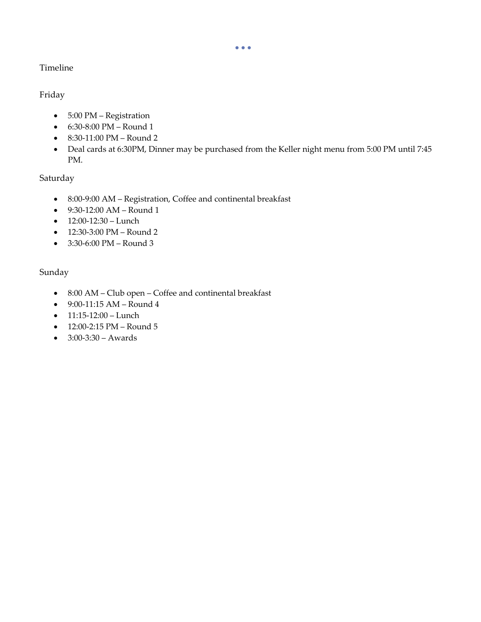#### • • •

### Timeline

### Friday

- 5:00 PM Registration
- 6:30-8:00 PM Round 1
- 8:30-11:00 PM Round 2
- Deal cards at 6:30PM, Dinner may be purchased from the Keller night menu from 5:00 PM until 7:45 PM.

# Saturday

- 8:00-9:00 AM Registration, Coffee and continental breakfast
- 9:30-12:00 AM Round 1
- 12:00-12:30 Lunch
- 12:30-3:00 PM Round 2
- 3:30-6:00 PM Round 3

# Sunday

- 8:00 AM Club open Coffee and continental breakfast
- 9:00-11:15 AM Round 4
- $\bullet$  11:15-12:00 Lunch
- 12:00-2:15 PM Round 5
- 3:00-3:30 Awards